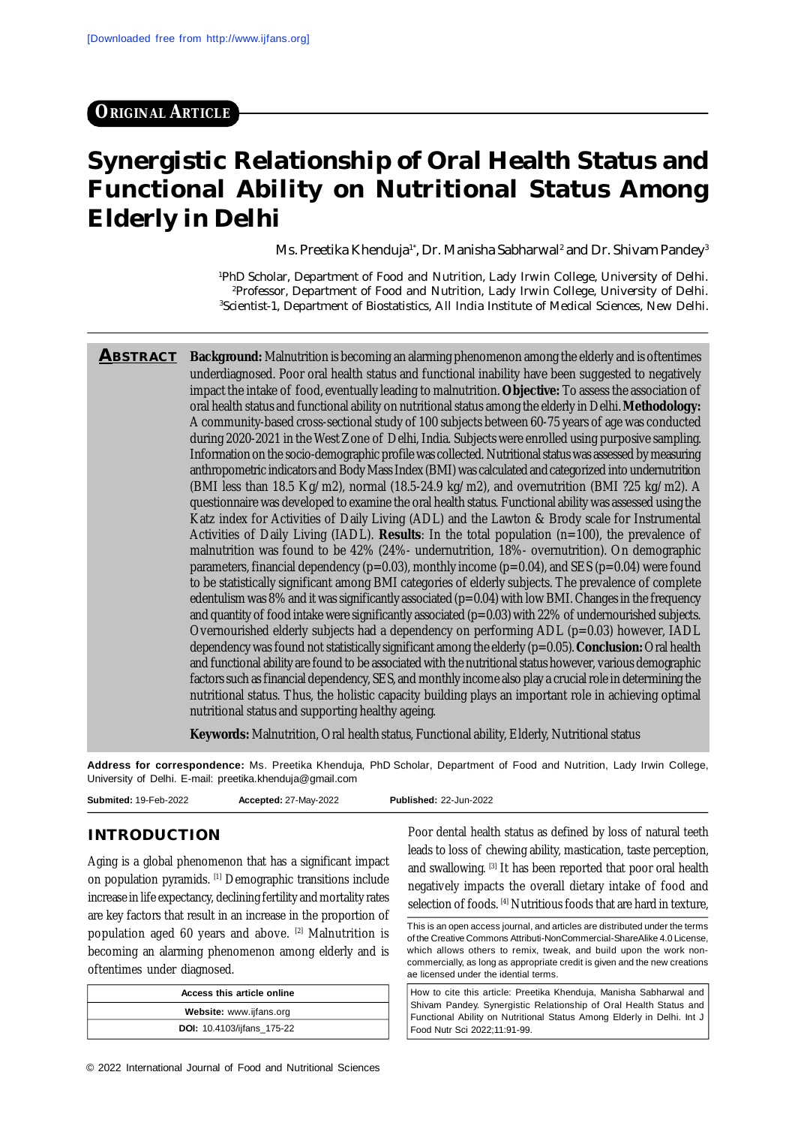# **ORIGINAL ARTICLE**

# **Synergistic Relationship of Oral Health Status and Functional Ability on Nutritional Status Among Elderly in Delhi**

Ms. Preetika Khenduja<sup>1</sup>', Dr. Manisha Sabharwal<sup>2</sup> and Dr. Shivam Pandey<sup>3</sup>

<sup>1</sup>PhD Scholar, Department of Food and Nutrition, Lady Irwin College, University of Delhi. <sup>2</sup>Professor, Department of Food and Nutrition, Lady Irwin College, University of Delhi. <sup>3</sup>Scientist-1, Department of Biostatistics, All India Institute of Medical Sciences, New Delhi.

**ABSTRACT Background:** Malnutrition is becoming an alarming phenomenon among the elderly and is oftentimes underdiagnosed. Poor oral health status and functional inability have been suggested to negatively impact the intake of food, eventually leading to malnutrition. **Objective:** To assess the association of oral health status and functional ability on nutritional status among the elderly in Delhi. **Methodology:** A community-based cross-sectional study of 100 subjects between 60-75 years of age was conducted during 2020-2021 in the West Zone of Delhi, India. Subjects were enrolled using purposive sampling. Information on the socio-demographic profile was collected. Nutritional status was assessed by measuring anthropometric indicators and Body Mass Index (BMI) was calculated and categorized into undernutrition (BMI less than 18.5 Kg/m2), normal (18.5-24.9 kg/m2), and overnutrition (BMI ?25 kg/m2). A questionnaire was developed to examine the oral health status. Functional ability was assessed using the Katz index for Activities of Daily Living (ADL) and the Lawton & Brody scale for Instrumental Activities of Daily Living (IADL). **Results**: In the total population (n=100), the prevalence of malnutrition was found to be 42% (24%- undernutrition, 18%- overnutrition). On demographic parameters, financial dependency ( $p=0.03$ ), monthly income ( $p=0.04$ ), and SES ( $p=0.04$ ) were found to be statistically significant among BMI categories of elderly subjects. The prevalence of complete edentulism was 8% and it was significantly associated  $(p=0.04)$  with low BMI. Changes in the frequency and quantity of food intake were significantly associated (p=0.03) with 22% of undernourished subjects. Overnourished elderly subjects had a dependency on performing  $ADL$  ( $p=0.03$ ) however, IADL dependency was found not statistically significant among the elderly (p=0.05). **Conclusion:** Oral health and functional ability are found to be associated with the nutritional status however, various demographic factors such as financial dependency, SES, and monthly income also play a crucial role in determining the nutritional status. Thus, the holistic capacity building plays an important role in achieving optimal nutritional status and supporting healthy ageing.

**Keywords:** Malnutrition, Oral health status, Functional ability, Elderly, Nutritional status

**Address for correspondence:** Ms. Preetika Khenduja, PhD Scholar, Department of Food and Nutrition, Lady Irwin College, University of Delhi. E-mail: [preetika.khenduja@gmail.com](mailto:preetika.khenduja@gmail.com)

#### **INTRODUCTION**

Aging is a global phenomenon that has a significant impact on population pyramids. [1] Demographic transitions include increase in life expectancy, declining fertility and mortality rates are key factors that result in an increase in the proportion of population aged 60 years and above. [2] Malnutrition is becoming an alarming phenomenon among elderly and is oftentimes under diagnosed.

| Access this article online        |
|-----------------------------------|
| Website: www.ijfans.org           |
| <b>DOI:</b> 10.4103/ijfans_175-22 |

Poor dental health status as defined by loss of natural teeth leads to loss of chewing ability, mastication, taste perception, and swallowing. <a>[3]</a> It has been reported that poor oral health negatively impacts the overall dietary intake of food and selection of foods. [4] Nutritious foods that are hard in texture,

This is an open access journal, and articles are distributed under the terms of the Creative Commons Attributi-NonCommercial-ShareAlike 4.0 License, which allows others to remix, tweak, and build upon the work noncommercially, as long as appropriate credit is given and the new creations ae licensed under the idential terms.

How to cite this article: Preetika Khenduja, Manisha Sabharwal and Shivam Pandey. Synergistic Relationship of Oral Health Status and Functional Ability on Nutritional Status Among Elderly in Delhi. Int J Food Nutr Sci 2022;11:91-99.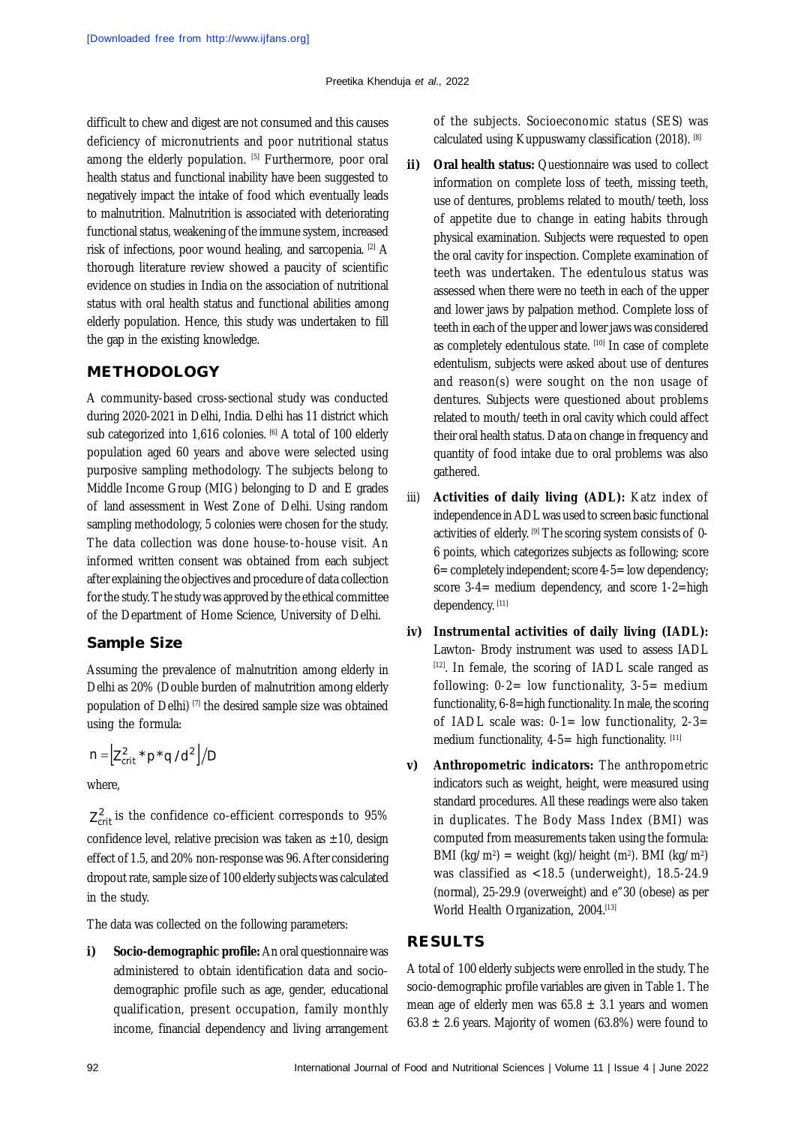difficult to chew and digest are not consumed and this causes deficiency of micronutrients and poor nutritional status among the elderly population. [5] Furthermore, poor oral health status and functional inability have been suggested to negatively impact the intake of food which eventually leads to malnutrition. Malnutrition is associated with deteriorating functional status, weakening of the immune system, increased risk of infections, poor wound healing, and sarcopenia. <sup>[2]</sup> A thorough literature review showed a paucity of scientific evidence on studies in India on the association of nutritional status with oral health status and functional abilities among elderly population. Hence, this study was undertaken to fill the gap in the existing knowledge.

#### **METHODOLOGY**

A community-based cross-sectional study was conducted during 2020-2021 in Delhi, India. Delhi has 11 district which sub categorized into 1,616 colonies. [6] A total of 100 elderly population aged 60 years and above were selected using purposive sampling methodology. The subjects belong to Middle Income Group (MIG) belonging to D and E grades of land assessment in West Zone of Delhi. Using random sampling methodology, 5 colonies were chosen for the study. The data collection was done house-to-house visit. An informed written consent was obtained from each subject after explaining the objectives and procedure of data collection for the study. The study was approved by the ethical committee of the Department of Home Science, University of Delhi.

#### **Sample Size**

Assuming the prevalence of malnutrition among elderly in Delhi as 20% (Double burden of malnutrition among elderly population of Delhi) [7] the desired sample size was obtained using the formula:

$$
n = \left[ Z_{crit}^2 * p * q / d^2 \right] / D
$$

where,

 $Z<sub>crit</sub><sup>2</sup>$  is the confidence co-efficient corresponds to 95% confidence level, relative precision was taken as  $\pm 10$ , design effect of 1.5, and 20% non-response was 96. After considering dropout rate, sample size of 100 elderly subjects was calculated in the study.

The data was collected on the following parameters:

**i) Socio-demographic profile:** An oral questionnaire was administered to obtain identification data and sociodemographic profile such as age, gender, educational qualification, present occupation, family monthly income, financial dependency and living arrangement of the subjects. Socioeconomic status (SES) was calculated using Kuppuswamy classification (2018). [8]

- **ii) Oral health status:** Questionnaire was used to collect information on complete loss of teeth, missing teeth, use of dentures, problems related to mouth/teeth, loss of appetite due to change in eating habits through physical examination. Subjects were requested to open the oral cavity for inspection. Complete examination of teeth was undertaken. The edentulous status was assessed when there were no teeth in each of the upper and lower jaws by palpation method. Complete loss of teeth in each of the upper and lower jaws was considered as completely edentulous state. [10] In case of complete edentulism, subjects were asked about use of dentures and reason(s) were sought on the non usage of dentures. Subjects were questioned about problems related to mouth/teeth in oral cavity which could affect their oral health status. Data on change in frequency and quantity of food intake due to oral problems was also gathered.
- iii) **Activities of daily living (ADL):** Katz index of independence in ADL was used to screen basic functional activities of elderly. [9] The scoring system consists of 0-6 points, which categorizes subjects as following; score 6= completely independent; score 4-5= low dependency; score 3-4= medium dependency, and score 1-2=high dependency. [11]
- **iv) Instrumental activities of daily living (IADL):** Lawton- Brody instrument was used to assess IADL [12]. In female, the scoring of IADL scale ranged as following:  $0-2=$  low functionality,  $3-5=$  medium functionality, 6-8=high functionality. In male, the scoring of IADL scale was:  $0-1=$  low functionality,  $2-3=$ medium functionality,  $4-5=$  high functionality.  $[11]$
- **v) Anthropometric indicators:** The anthropometric indicators such as weight, height, were measured using standard procedures. All these readings were also taken in duplicates. The Body Mass Index (BMI) was computed from measurements taken using the formula: BMI (kg/m²) = weight (kg)/height (m²). BMI (kg/m²) was classified as <18.5 (underweight), 18.5-24.9 (normal), 25-29.9 (overweight) and e"30 (obese) as per World Health Organization, 2004.<sup>[13]</sup>

#### **RESULTS**

A total of 100 elderly subjects were enrolled in the study. The socio-demographic profile variables are given in Table 1. The mean age of elderly men was  $65.8 \pm 3.1$  years and women 63.8  $\pm$  2.6 years. Majority of women (63.8%) were found to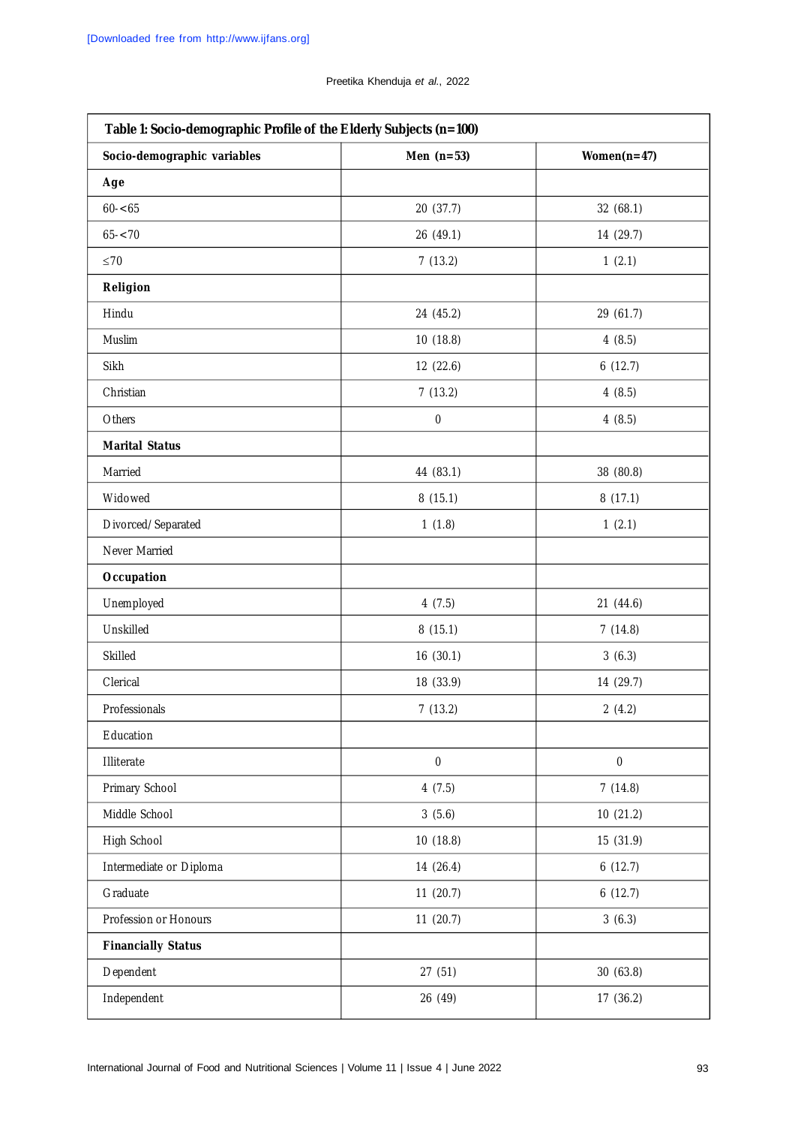| Table 1: Socio-demographic Profile of the Elderly Subjects (n=100) |              |                |  |  |
|--------------------------------------------------------------------|--------------|----------------|--|--|
| Socio-demographic variables                                        | Men $(n=53)$ | Women $(n=47)$ |  |  |
| Age                                                                |              |                |  |  |
| $60 - 65$                                                          | 20 (37.7)    | 32 (68.1)      |  |  |
| $65 - 70$                                                          | 26 (49.1)    | 14 (29.7)      |  |  |
| $\leq 70$                                                          | 7(13.2)      | 1(2.1)         |  |  |
| Religion                                                           |              |                |  |  |
| Hindu                                                              | 24 (45.2)    | 29 (61.7)      |  |  |
| Muslim                                                             | 10(18.8)     | 4(8.5)         |  |  |
| Sikh                                                               | 12 (22.6)    | 6(12.7)        |  |  |
| Christian                                                          | 7(13.2)      | 4(8.5)         |  |  |
| Others                                                             | 0            | 4(8.5)         |  |  |
| <b>Marital Status</b>                                              |              |                |  |  |
| Married                                                            | 44 (83.1)    | 38 (80.8)      |  |  |
| Widowed                                                            | 8(15.1)      | 8(17.1)        |  |  |
| Divorced/Separated                                                 | 1(1.8)       | 1(2.1)         |  |  |
| Never Married                                                      |              |                |  |  |
| Occupation                                                         |              |                |  |  |
| Unemployed                                                         | 4(7.5)       | 21 (44.6)      |  |  |
| Unskilled                                                          | 8(15.1)      | 7(14.8)        |  |  |
| Skilled                                                            | 16(30.1)     | 3(6.3)         |  |  |
| Clerical                                                           | 18 (33.9)    | 14 (29.7)      |  |  |
| Professionals                                                      | 7(13.2)      | 2(4.2)         |  |  |
| Education                                                          |              |                |  |  |
| Illiterate                                                         | $\pmb{0}$    | $\pmb{0}$      |  |  |
| Primary School                                                     | 4(7.5)       | 7(14.8)        |  |  |
| Middle School                                                      | 3(5.6)       | 10 (21.2)      |  |  |
| High School                                                        | 10 (18.8)    | 15 (31.9)      |  |  |
| Intermediate or Diploma                                            | 14 (26.4)    | 6(12.7)        |  |  |
| Graduate                                                           | 11(20.7)     | 6(12.7)        |  |  |
| Profession or Honours                                              | 11(20.7)     | 3(6.3)         |  |  |
| <b>Financially Status</b>                                          |              |                |  |  |
| Dependent                                                          | 27(51)       | 30(63.8)       |  |  |
| Independent                                                        | 26 (49)      | 17 (36.2)      |  |  |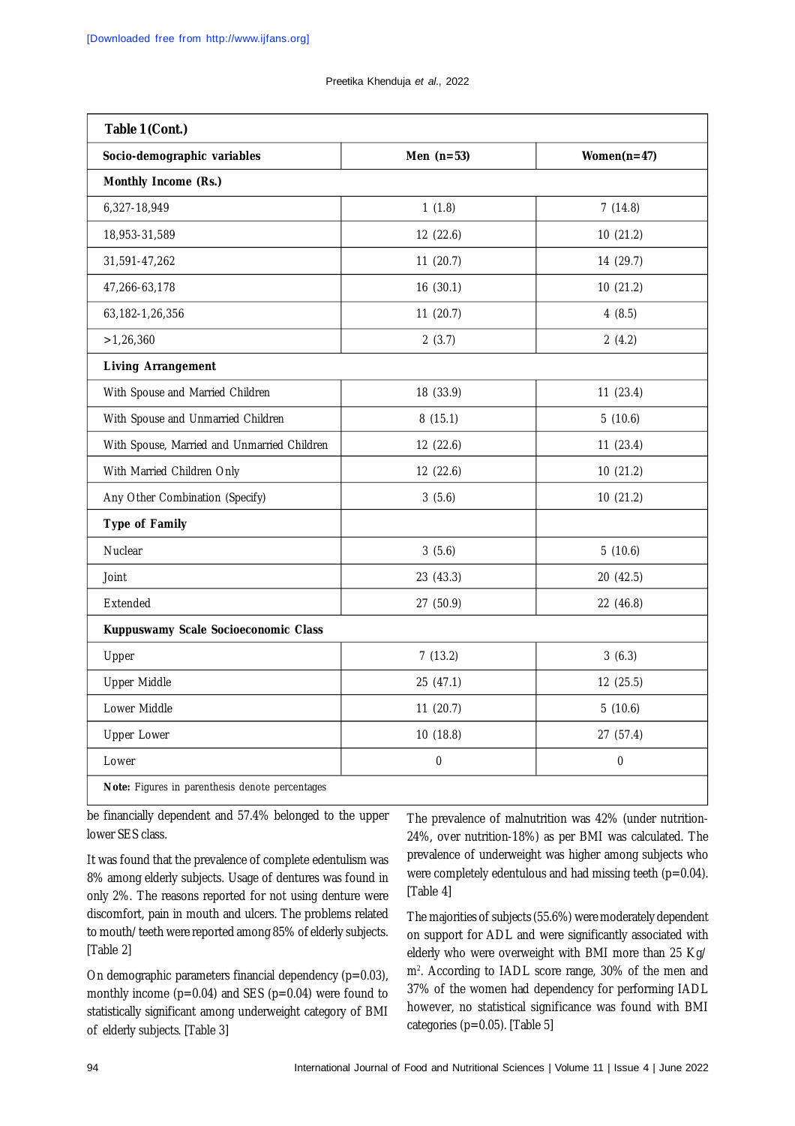Preetika Khenduja *et al*., 2022

| Socio-demographic variables                 | Men $(n=53)$ | Women $(n=47)$ |  |  |
|---------------------------------------------|--------------|----------------|--|--|
| Monthly Income (Rs.)                        |              |                |  |  |
| 6,327-18,949                                | 1(1.8)       | 7(14.8)        |  |  |
| 18,953-31,589                               | 12(22.6)     | 10(21.2)       |  |  |
| 31,591-47,262                               | 11(20.7)     | 14 (29.7)      |  |  |
| 47,266-63,178                               | 16(30.1)     | 10(21.2)       |  |  |
| 63, 182-1, 26, 356                          | 11(20.7)     | 4(8.5)         |  |  |
| >1,26,360                                   | 2(3.7)       | 2(4.2)         |  |  |
| <b>Living Arrangement</b>                   |              |                |  |  |
| With Spouse and Married Children            | 18 (33.9)    | 11(23.4)       |  |  |
| With Spouse and Unmarried Children          | 8(15.1)      | 5(10.6)        |  |  |
| With Spouse, Married and Unmarried Children | 12 (22.6)    | 11(23.4)       |  |  |
| With Married Children Only                  | 12 (22.6)    | 10 (21.2)      |  |  |
| Any Other Combination (Specify)             | 3(5.6)       | 10 (21.2)      |  |  |
| Type of Family                              |              |                |  |  |
| Nuclear                                     | 3(5.6)       | 5(10.6)        |  |  |
| Joint                                       | 23 (43.3)    | 20 (42.5)      |  |  |
| Extended                                    | 27 (50.9)    | 22 (46.8)      |  |  |
| Kuppuswamy Scale Socioeconomic Class        |              |                |  |  |
| Upper                                       | 7(13.2)      | 3(6.3)         |  |  |
| Upper Middle                                | 25 (47.1)    | 12 (25.5)      |  |  |
| Lower Middle                                | 11(20.7)     | 5(10.6)        |  |  |
| <b>Upper Lower</b>                          | 10(18.8)     | 27 (57.4)      |  |  |
| Lower                                       | $\pmb{0}$    | $\pmb{0}$      |  |  |

be financially dependent and 57.4% belonged to the upper lower SES class.

It was found that the prevalence of complete edentulism was 8% among elderly subjects. Usage of dentures was found in only 2%. The reasons reported for not using denture were discomfort, pain in mouth and ulcers. The problems related to mouth/teeth were reported among 85% of elderly subjects. [Table 2]

On demographic parameters financial dependency  $(p=0.03)$ , monthly income  $(p=0.04)$  and SES  $(p=0.04)$  were found to statistically significant among underweight category of BMI of elderly subjects. [Table 3]

The prevalence of malnutrition was 42% (under nutrition-24%, over nutrition-18%) as per BMI was calculated. The prevalence of underweight was higher among subjects who were completely edentulous and had missing teeth ( $p=0.04$ ). [Table 4]

The majorities of subjects (55.6%) were moderately dependent on support for ADL and were significantly associated with elderly who were overweight with BMI more than 25 Kg/ m<sup>2</sup> . According to IADL score range, 30% of the men and 37% of the women had dependency for performing IADL however, no statistical significance was found with BMI categories (p=0.05). [Table 5]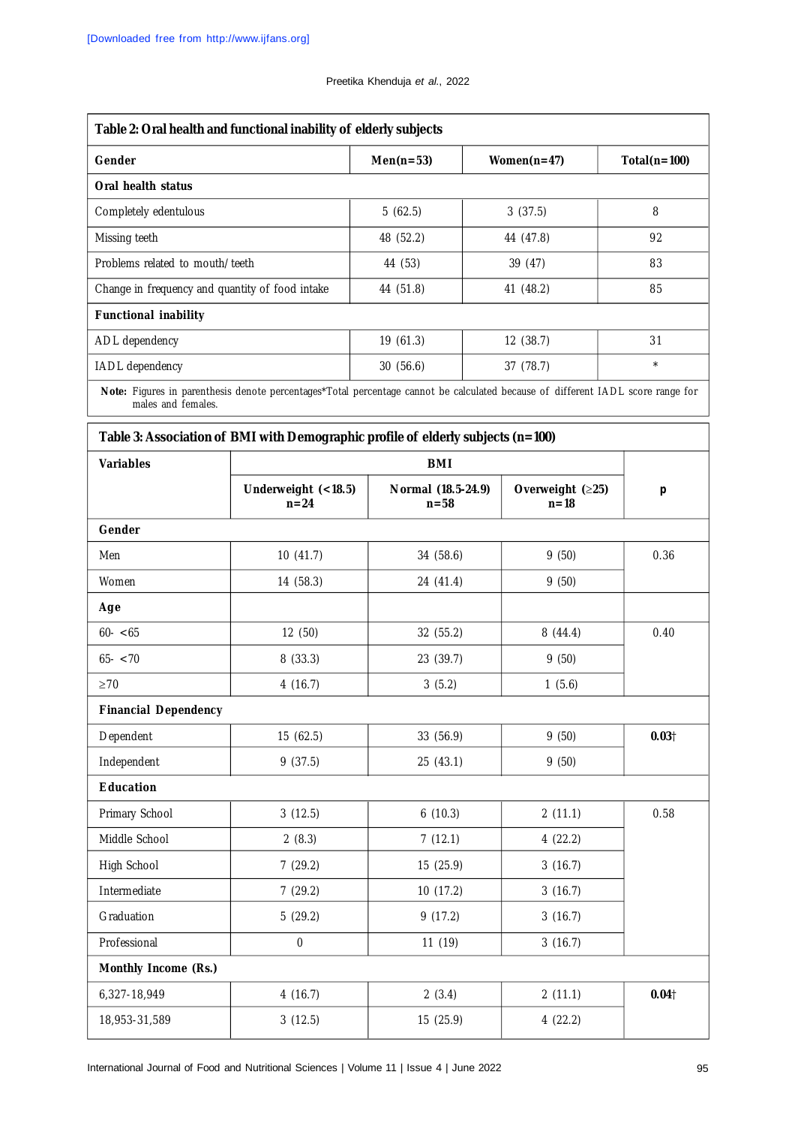#### Preetika Khenduja *et al*., 2022

| Table 2: Oral health and functional inability of elderly subjects |             |                |                |  |
|-------------------------------------------------------------------|-------------|----------------|----------------|--|
| Gender                                                            | $Men(n=53)$ | Women $(n=47)$ | $Total(n=100)$ |  |
| Oral health status                                                |             |                |                |  |
| Completely edentulous                                             | 5(62.5)     | 3(37.5)        | 8              |  |
| Missing teeth                                                     | 48 (52.2)   | 44 (47.8)      | 92             |  |
| Problems related to mouth/teeth                                   | 44 (53)     | 39 (47)        | 83             |  |
| Change in frequency and quantity of food intake                   | 44 (51.8)   | 41 (48.2)      | 85             |  |
| <b>Functional inability</b>                                       |             |                |                |  |
| ADL dependency                                                    | 19(61.3)    | 12(38.7)       | 31             |  |
| IADL dependency                                                   | 30(56.6)    | 37(78.7)       | $\star$        |  |
|                                                                   |             |                |                |  |

**Note:** Figures in parenthesis denote percentages\*Total percentage cannot be calculated because of different IADL score range for males and females.

| <b>Variables</b>            | <b>BMI</b>                    |                                |                            |           |
|-----------------------------|-------------------------------|--------------------------------|----------------------------|-----------|
|                             | Underweight (<18.5)<br>$n=24$ | Normal (18.5-24.9)<br>$n = 58$ | Overweight (≥25)<br>$n=18$ | $\pmb{p}$ |
| Gender                      |                               |                                |                            |           |
| Men                         | 10(41.7)                      | 34 (58.6)                      | 9(50)                      | 0.36      |
| Women                       | 14 (58.3)                     | 24 (41.4)                      | 9(50)                      |           |
| Age                         |                               |                                |                            |           |
| $60 - 65$                   | 12 (50)                       | 32 (55.2)                      | 8(44.4)                    | 0.40      |
| $65 - 70$                   | 8(33.3)                       | 23 (39.7)                      | 9(50)                      |           |
| $\geq 70$                   | 4(16.7)                       | 3(5.2)                         | 1(5.6)                     |           |
| <b>Financial Dependency</b> |                               |                                |                            |           |
| Dependent                   | 15 (62.5)                     | 33 (56.9)                      | 9(50)                      | 0.031     |
| Independent                 | 9(37.5)                       | 25 (43.1)                      | 9(50)                      |           |
| <b>Education</b>            |                               |                                |                            |           |
| Primary School              | 3(12.5)                       | 6(10.3)                        | 2(11.1)                    | 0.58      |
| Middle School               | 2(8.3)                        | 7(12.1)                        | 4(22.2)                    |           |
| High School                 | 7(29.2)                       | 15 (25.9)                      | 3(16.7)                    |           |
| Intermediate                | 7(29.2)                       | 10(17.2)                       | 3(16.7)                    |           |
| Graduation                  | 5(29.2)                       | 9(17.2)                        | 3(16.7)                    |           |
| Professional                | $\mathbf 0$                   | 11 (19)                        | 3(16.7)                    |           |
| Monthly Income (Rs.)        |                               |                                |                            |           |
| 6,327-18,949                | 4(16.7)                       | 2(3.4)                         | 2(11.1)                    | 0.04      |
| 18,953-31,589               | 3(12.5)                       | 15 (25.9)                      | 4(22.2)                    |           |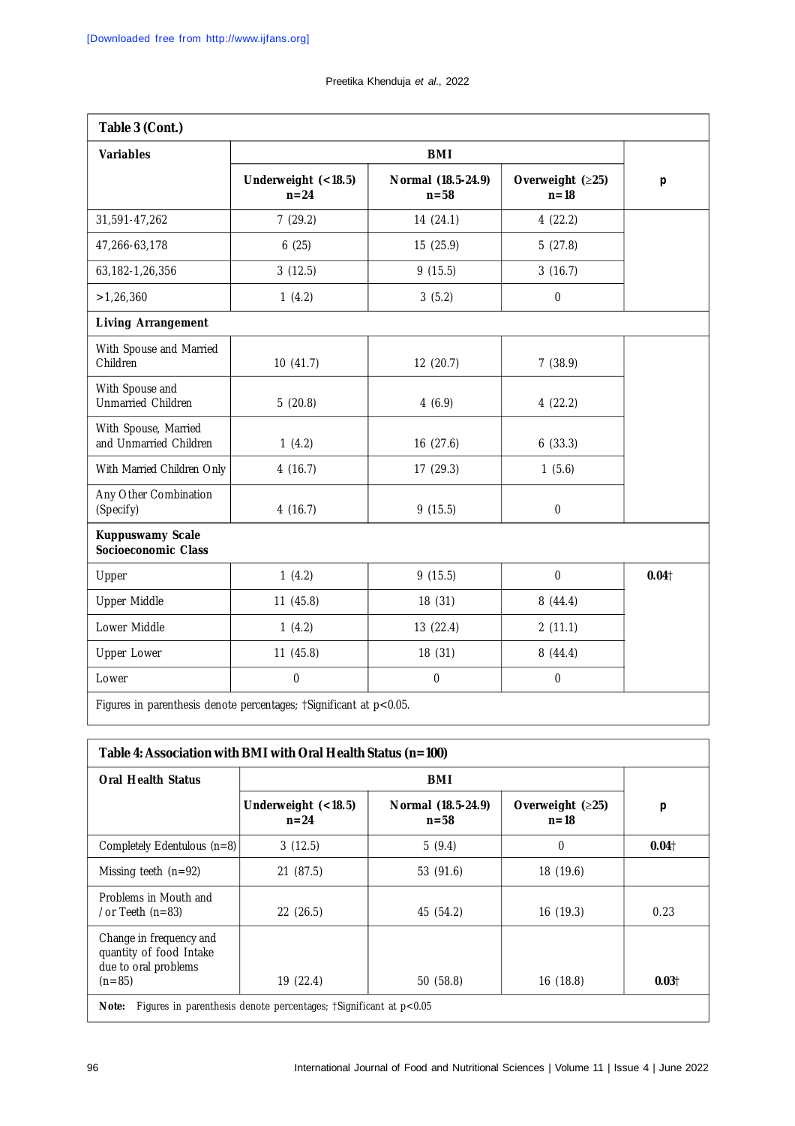| Table 3 (Cont.)                                |                                                                    |                                |                            |                   |
|------------------------------------------------|--------------------------------------------------------------------|--------------------------------|----------------------------|-------------------|
| <b>Variables</b>                               | <b>BMI</b>                                                         |                                |                            |                   |
|                                                | Underweight (<18.5)<br>$n=24$                                      | Normal (18.5-24.9)<br>$n = 58$ | Overweight (≥25)<br>$n=18$ | $\boldsymbol{p}$  |
| 31,591-47,262                                  | 7(29.2)                                                            | 14 (24.1)                      | 4(22.2)                    |                   |
| 47,266-63,178                                  | 6(25)                                                              | 15 (25.9)                      | 5(27.8)                    |                   |
| 63, 182-1, 26, 356                             | 3(12.5)                                                            | 9(15.5)                        | 3(16.7)                    |                   |
| >1,26,360                                      | 1(4.2)                                                             | 3(5.2)                         | $\pmb{0}$                  |                   |
| <b>Living Arrangement</b>                      |                                                                    |                                |                            |                   |
| With Spouse and Married<br>Children            | 10(41.7)                                                           | 12(20.7)                       | 7(38.9)                    |                   |
| With Spouse and<br>Unmarried Children          | 5(20.8)                                                            | 4(6.9)                         | 4(22.2)                    |                   |
| With Spouse, Married<br>and Unmarried Children | 1(4.2)                                                             | 16(27.6)                       | 6(33.3)                    |                   |
| With Married Children Only                     | 4(16.7)                                                            | 17(29.3)                       | 1(5.6)                     |                   |
| Any Other Combination<br>(Specify)             | 4(16.7)                                                            | 9(15.5)                        | $\mathbf{0}$               |                   |
| <b>Kuppuswamy Scale</b><br>Socioeconomic Class |                                                                    |                                |                            |                   |
| Upper                                          | 1(4.2)                                                             | 9(15.5)                        | $\mathbf 0$                | 0.04 <sub>†</sub> |
| Upper Middle                                   | 11(45.8)                                                           | 18 (31)                        | 8(44.4)                    |                   |
| Lower Middle                                   | 1(4.2)                                                             | 13 (22.4)                      | 2(11.1)                    |                   |
| <b>Upper Lower</b>                             | 11(45.8)                                                           | 18 (31)                        | 8(44.4)                    |                   |
| Lower                                          | 0                                                                  | $\pmb{0}$                      | $\mathbf{0}$               |                   |
|                                                | Figures in parenthesis denote percentages; †Significant at p<0.05. |                                |                            |                   |

| Table 4: Association with BMI with Oral Health Status (n=100)                          |                                                                   |                                |                                |                   |
|----------------------------------------------------------------------------------------|-------------------------------------------------------------------|--------------------------------|--------------------------------|-------------------|
| <b>Oral Health Status</b>                                                              | BMI                                                               |                                |                                |                   |
|                                                                                        | Underweight $(<18.5)$<br>$n = 24$                                 | Normal (18.5-24.9)<br>$n = 58$ | Overweight $(≥25)$<br>$n = 18$ | $\boldsymbol{p}$  |
| Completely Edentulous (n=8)                                                            | 3(12.5)                                                           | 5(9.4)                         | 0                              | 0.041             |
| Missing teeth $(n=92)$                                                                 | 21(87.5)                                                          | 53 (91.6)                      | 18 (19.6)                      |                   |
| Problems in Mouth and<br>/or Teeth $(n=83)$                                            | 22(26.5)                                                          | 45 (54.2)                      | 16(19.3)                       | 0.23              |
| Change in frequency and<br>quantity of food Intake<br>due to oral problems<br>$(n=85)$ | 19 (22.4)                                                         | 50(58.8)                       | 16 (18.8)                      | 0.03 <sup>†</sup> |
| Note:                                                                                  | Figures in parenthesis denote percentages; †Significant at p<0.05 |                                |                                |                   |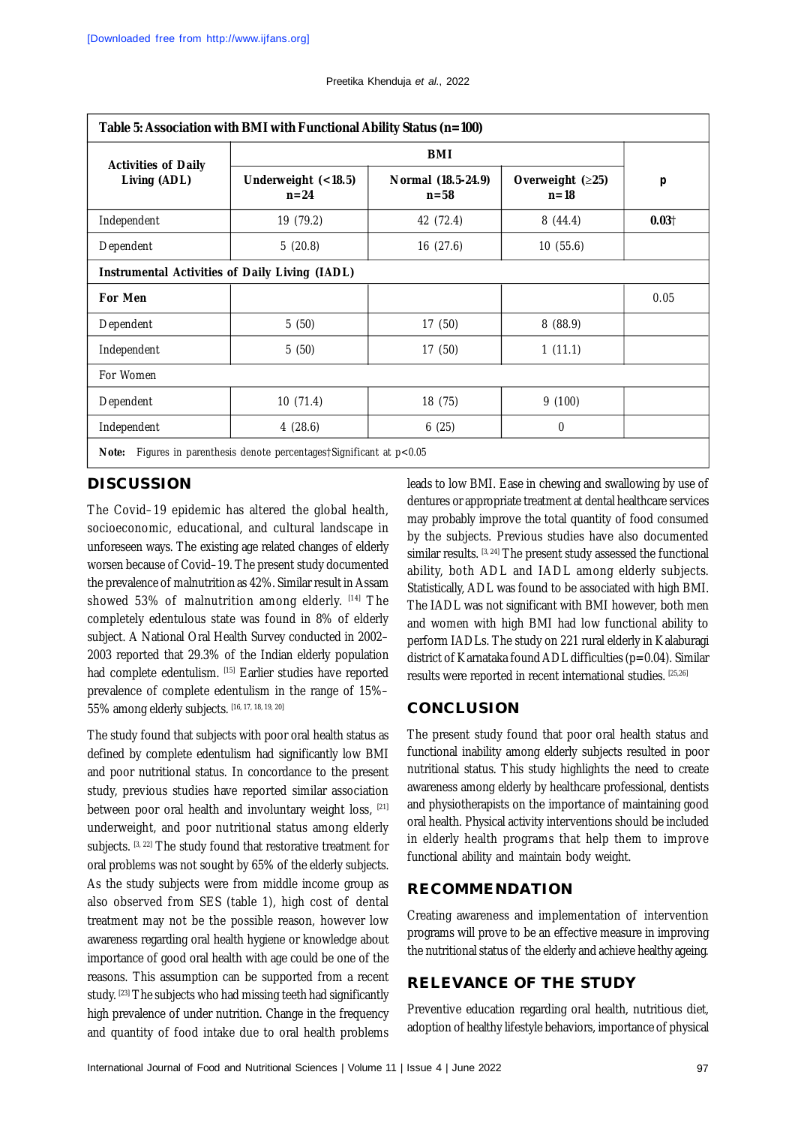| <b>Activities of Daily</b><br>Living (ADL) | <b>BMI</b>                                            |                                |                               |       |
|--------------------------------------------|-------------------------------------------------------|--------------------------------|-------------------------------|-------|
|                                            | Underweight (<18.5)<br>$n=24$                         | Normal (18.5-24.9)<br>$n = 58$ | Overweight $(25)$<br>$n = 18$ | p     |
| Independent                                | 19 (79.2)                                             | 42 (72.4)                      | 8(44.4)                       | 0.031 |
| Dependent                                  | 5(20.8)                                               | 16(27.6)                       | 10(55.6)                      |       |
|                                            | <b>Instrumental Activities of Daily Living (IADL)</b> |                                |                               |       |
| For Men                                    |                                                       |                                |                               | 0.05  |
| Dependent                                  | 5(50)                                                 | 17(50)                         | 8(88.9)                       |       |
| Independent                                | 5(50)                                                 | 17(50)                         | 1(11.1)                       |       |
| For Women                                  |                                                       |                                |                               |       |
| Dependent                                  | 10(71.4)                                              | 18 (75)                        | 9(100)                        |       |
| Independent                                | 4(28.6)                                               | 6(25)                          | $\theta$                      |       |

**DISCUSSION**

The Covid–19 epidemic has altered the global health, socioeconomic, educational, and cultural landscape in unforeseen ways. The existing age related changes of elderly worsen because of Covid–19. The present study documented the prevalence of malnutrition as 42%. Similar result in Assam showed 53% of malnutrition among elderly. [14] The completely edentulous state was found in 8% of elderly subject. A National Oral Health Survey conducted in 2002– 2003 reported that 29.3% of the Indian elderly population had complete edentulism. [15] Earlier studies have reported prevalence of complete edentulism in the range of 15%– 55% among elderly subjects. [16, 17, 18, 19, 20]

The study found that subjects with poor oral health status as defined by complete edentulism had significantly low BMI and poor nutritional status. In concordance to the present study, previous studies have reported similar association between poor oral health and involuntary weight loss, [21] underweight, and poor nutritional status among elderly subjects. [3, 22] The study found that restorative treatment for oral problems was not sought by 65% of the elderly subjects. As the study subjects were from middle income group as also observed from SES (table 1), high cost of dental treatment may not be the possible reason, however low awareness regarding oral health hygiene or knowledge about importance of good oral health with age could be one of the reasons. This assumption can be supported from a recent study. [23] The subjects who had missing teeth had significantly high prevalence of under nutrition. Change in the frequency and quantity of food intake due to oral health problems

leads to low BMI. Ease in chewing and swallowing by use of dentures or appropriate treatment at dental healthcare services may probably improve the total quantity of food consumed by the subjects. Previous studies have also documented similar results.  $[3, 24]$  The present study assessed the functional ability, both ADL and IADL among elderly subjects. Statistically, ADL was found to be associated with high BMI. The IADL was not significant with BMI however, both men and women with high BMI had low functional ability to perform IADLs. The study on 221 rural elderly in Kalaburagi district of Karnataka found ADL difficulties (p=0.04). Similar results were reported in recent international studies. [25,26]

## **CONCLUSION**

The present study found that poor oral health status and functional inability among elderly subjects resulted in poor nutritional status. This study highlights the need to create awareness among elderly by healthcare professional, dentists and physiotherapists on the importance of maintaining good oral health. Physical activity interventions should be included in elderly health programs that help them to improve functional ability and maintain body weight.

## **RECOMMENDATION**

Creating awareness and implementation of intervention programs will prove to be an effective measure in improving the nutritional status of the elderly and achieve healthy ageing.

# **RELEVANCE OF THE STUDY**

Preventive education regarding oral health, nutritious diet, adoption of healthy lifestyle behaviors, importance of physical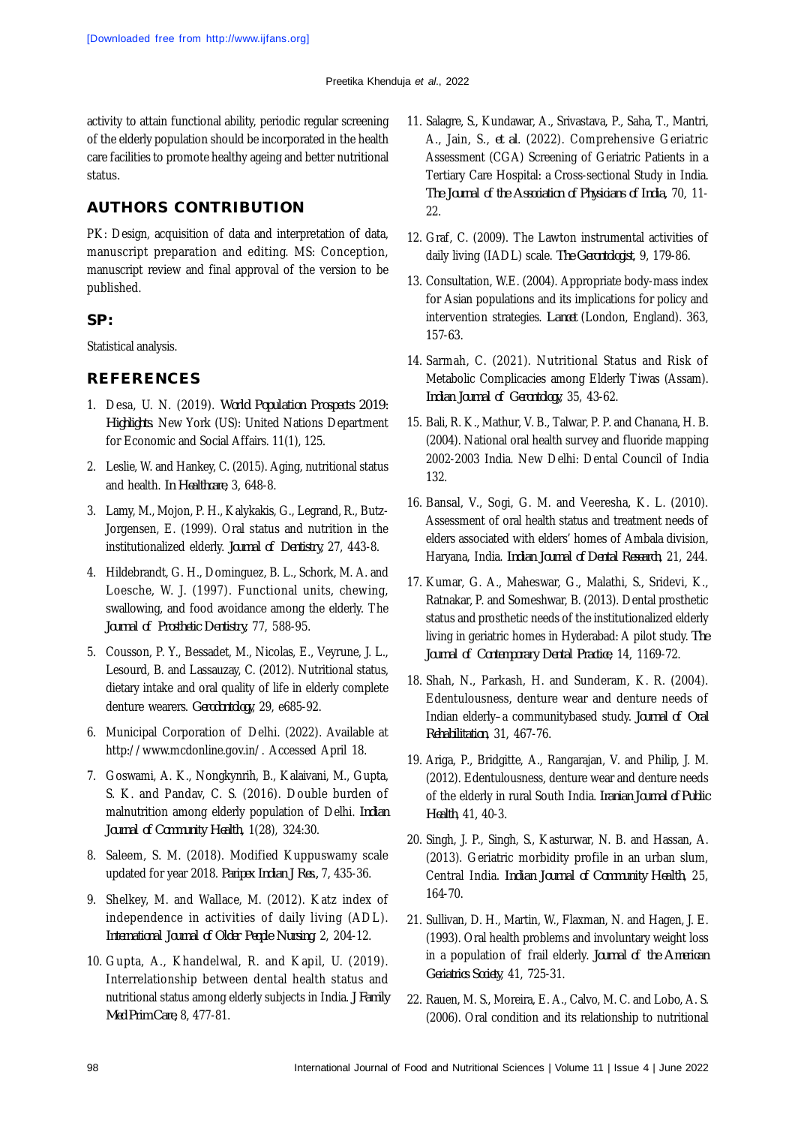activity to attain functional ability, periodic regular screening of the elderly population should be incorporated in the health care facilities to promote healthy ageing and better nutritional status.

# **AUTHORS CONTRIBUTION**

PK: Design, acquisition of data and interpretation of data, manuscript preparation and editing. MS: Conception, manuscript review and final approval of the version to be published.

## **SP:**

Statistical analysis.

# **REFERENCES**

- 1. Desa, U. N. (2019). *World Population Prospects 2019: Highlights*. New York (US): United Nations Department for Economic and Social Affairs. 11(1), 125.
- 2. Leslie, W. and Hankey, C. (2015). Aging, nutritional status and health. *In Healthcare*, 3, 648-8.
- 3. Lamy, M., Mojon, P. H., Kalykakis, G., Legrand, R., Butz-Jorgensen, E. (1999). Oral status and nutrition in the institutionalized elderly. *Journal of Dentistry,* 27, 443-8.
- 4. Hildebrandt, G. H., Dominguez, B. L., Schork, M. A. and Loesche, W. J. (1997). Functional units, chewing, swallowing, and food avoidance among the elderly. The *Journal of Prosthetic Dentistry,* 77, 588-95.
- 5. Cousson, P. Y., Bessadet, M., Nicolas, E., Veyrune, J. L., Lesourd, B. and Lassauzay, C. (2012). Nutritional status, dietary intake and oral quality of life in elderly complete denture wearers. *Gerodontology*, 29, e685-92.
- 6. Municipal Corporation of Delhi. (2022). Available at <http://www.mcdonline.gov.in/.>Accessed April 18.
- 7. Goswami, A. K., Nongkynrih, B., Kalaivani, M., Gupta, S. K. and Pandav, C. S. (2016). Double burden of malnutrition among elderly population of Delhi. *Indian Journal of Community Health,* 1(28), 324:30.
- 8. Saleem, S. M. (2018). Modified Kuppuswamy scale updated for year 2018. *Paripex Indian J Res.,* 7, 435-36.
- 9. Shelkey, M. and Wallace, M. (2012). Katz index of independence in activities of daily living (ADL). *International Journal of Older People Nursing*, 2, 204-12.
- 10. Gupta, A., Khandelwal, R. and Kapil, U. (2019). Interrelationship between dental health status and nutritional status among elderly subjects in India. *J Family Med Prim Care,* 8, 477-81.
- 11. Salagre, S., Kundawar, A., Srivastava, P., Saha, T., Mantri, A., Jain, S., *et al*. (2022). Comprehensive Geriatric Assessment (CGA) Screening of Geriatric Patients in a Tertiary Care Hospital: a Cross-sectional Study in India. *The Journal of the Association of Physicians of India,* 70, 11- 22.
- 12. Graf, C. (2009). The Lawton instrumental activities of daily living (IADL) scale. *The Gerontologist*, 9, 179-86.
- 13. Consultation, W.E. (2004). Appropriate body-mass index for Asian populations and its implications for policy and intervention strategies. *Lancet* (London, England). 363, 157-63.
- 14. Sarmah, C. (2021). Nutritional Status and Risk of Metabolic Complicacies among Elderly Tiwas (Assam). *Indian Journal of Gerontology*, 35, 43-62.
- 15. Bali, R. K., Mathur, V. B., Talwar, P. P. and Chanana, H. B. (2004). National oral health survey and fluoride mapping 2002-2003 India. New Delhi: Dental Council of India 132.
- 16. Bansal, V., Sogi, G. M. and Veeresha, K. L. (2010). Assessment of oral health status and treatment needs of elders associated with elders' homes of Ambala division, Haryana, India. *Indian Journal of Dental Research*, 21, 244.
- 17. Kumar, G. A., Maheswar, G., Malathi, S., Sridevi, K., Ratnakar, P. and Someshwar, B. (2013). Dental prosthetic status and prosthetic needs of the institutionalized elderly living in geriatric homes in Hyderabad: A pilot study. *The Journal of Contemporary Dental Practice*, 14, 1169-72.
- 18. Shah, N., Parkash, H. and Sunderam, K. R. (2004). Edentulousness, denture wear and denture needs of Indian elderly–a communitybased study. *Journal of Oral Rehabilitation*, 31, 467-76.
- 19. Ariga, P., Bridgitte, A., Rangarajan, V. and Philip, J. M. (2012). Edentulousness, denture wear and denture needs of the elderly in rural South India. *Iranian Journal of Public Health*, 41, 40-3.
- 20. Singh, J. P., Singh, S., Kasturwar, N. B. and Hassan, A. (2013). Geriatric morbidity profile in an urban slum, Central India. *Indian Journal of Community Health*, 25, 164-70.
- 21. Sullivan, D. H., Martin, W., Flaxman, N. and Hagen, J. E. (1993). Oral health problems and involuntary weight loss in a population of frail elderly. *Journal of the American Geriatrics Society*, 41, 725-31.
- 22. Rauen, M. S., Moreira, E. A., Calvo, M. C. and Lobo, A. S. (2006). Oral condition and its relationship to nutritional